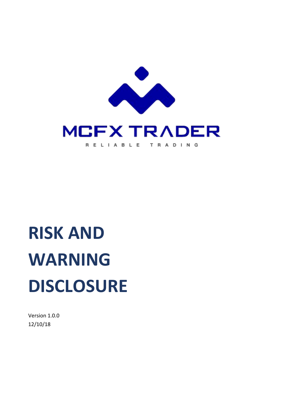

# **RISK AND WARNING DISCLOSURE**

Version 1.0.0 12/10/18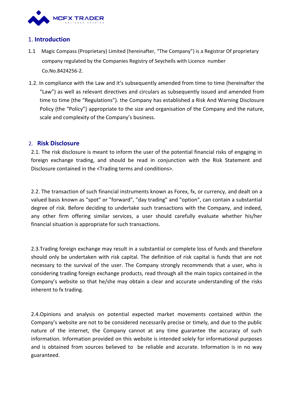

## 1. **Introduction**

- 1.1 Magic Compass (Proprietary) Limited (hereinafter, "The Company") is a Registrar Of proprietary company regulated by the Companies Registry of Seychells with Licence number Co.No.8424256-2.
- 1.2. In compliance with the Law and it's subsequently amended from time to time (hereinafter the "Law") as well as relevant directives and circulars as subsequently issued and amended from time to time (the "Regulations"). the Company has established a Risk And Warning Disclosure Policy (the "Policy") appropriate to the size and organisation of the Company and the nature, scale and complexity of the Company's business.

#### 2. **Risk Disclosure**

2.1. The risk disclosure is meant to inform the user of the potential financial risks of engaging in foreign exchange trading, and should be read in conjunction with the Risk Statement and

Disclosure contained in the <Trading terms and conditions>.<br>2.2. The transaction of such financial instruments known as Forex, fx, or currency, and dealt on a valued basis known as "spot" or "forward", "day trading" and "option", can contain a substantial degree of risk. Before deciding to undertake such transactions with the Company, and indeed, any other firm offering similar services, a user should carefully evaluate whether his/her financial situation is appropriate for such transactions.

2.3.Trading foreign exchange may result in a substantial or complete loss of funds and therefore should only be undertaken with risk capital. The definition of risk capital is funds that are not necessary to the survival of the user. The Company strongly recommends that a user, who is considering trading foreign exchange products, read through all the main topics contained in the Company's website so that he/she may obtain a clear and accurate understanding of the risks inherent to fx trading.

2.4.Opinions and analysis on potential expected market movements contained within the Company's website are not to be considered necessarily precise or timely, and due to the public nature of the internet, the Company cannot at any time guarantee the accuracy of such information. Information provided on this website is intended solely for informational purposes and is obtained from sources believed to be reliable and accurate. Information is in no way guaranteed.